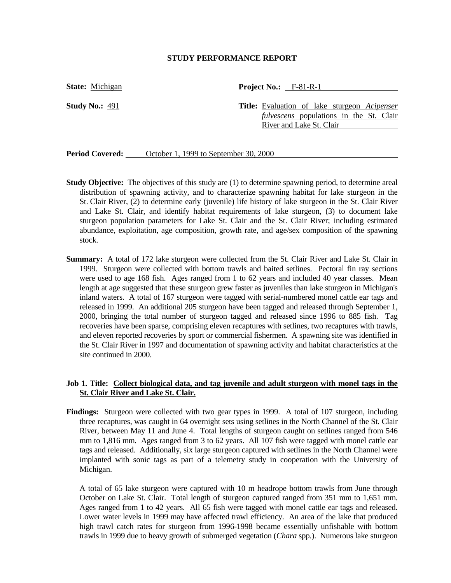#### **STUDY PERFORMANCE REPORT**

**State:** Michigan

**Study No.:** 491

**Project No.:** F-81-R-1

**Title:** Evaluation of lake sturgeon *Acipenser fulvescens* populations in the St. Clair River and Lake St. Clair

Period Covered: <u>Cortober 1, 1999 to September 30, 2000</u>

- **Study Objective:** The objectives of this study are (1) to determine spawning period, to determine areal distribution of spawning activity, and to characterize spawning habitat for lake sturgeon in the St. Clair River, (2) to determine early (juvenile) life history of lake sturgeon in the St. Clair River and Lake St. Clair, and identify habitat requirements of lake sturgeon, (3) to document lake sturgeon population parameters for Lake St. Clair and the St. Clair River; including estimated abundance, exploitation, age composition, growth rate, and age/sex composition of the spawning stock.
- **Summary:** A total of 172 lake sturgeon were collected from the St. Clair River and Lake St. Clair in 1999. Sturgeon were collected with bottom trawls and baited setlines. Pectoral fin ray sections were used to age 168 fish. Ages ranged from 1 to 62 years and included 40 year classes. Mean length at age suggested that these sturgeon grew faster as juveniles than lake sturgeon in Michigan's inland waters. A total of 167 sturgeon were tagged with serial-numbered monel cattle ear tags and released in 1999. An additional 205 sturgeon have been tagged and released through September 1, 2000, bringing the total number of sturgeon tagged and released since 1996 to 885 fish. Tag recoveries have been sparse, comprising eleven recaptures with setlines, two recaptures with trawls, and eleven reported recoveries by sport or commercial fishermen. A spawning site was identified in the St. Clair River in 1997 and documentation of spawning activity and habitat characteristics at the site continued in 2000.

## **Job 1. Title: Collect biological data, and tag juvenile and adult sturgeon with monel tags in the St. Clair River and Lake St. Clair.**

**Findings:** Sturgeon were collected with two gear types in 1999. A total of 107 sturgeon, including three recaptures, was caught in 64 overnight sets using setlines in the North Channel of the St. Clair River, between May 11 and June 4. Total lengths of sturgeon caught on setlines ranged from 546 mm to 1,816 mm. Ages ranged from 3 to 62 years. All 107 fish were tagged with monel cattle ear tags and released. Additionally, six large sturgeon captured with setlines in the North Channel were implanted with sonic tags as part of a telemetry study in cooperation with the University of Michigan.

A total of 65 lake sturgeon were captured with 10 m headrope bottom trawls from June through October on Lake St. Clair. Total length of sturgeon captured ranged from 351 mm to 1,651 mm. Ages ranged from 1 to 42 years. All 65 fish were tagged with monel cattle ear tags and released. Lower water levels in 1999 may have affected trawl efficiency. An area of the lake that produced high trawl catch rates for sturgeon from 1996-1998 became essentially unfishable with bottom trawls in 1999 due to heavy growth of submerged vegetation (*Chara* spp*.*). Numerous lake sturgeon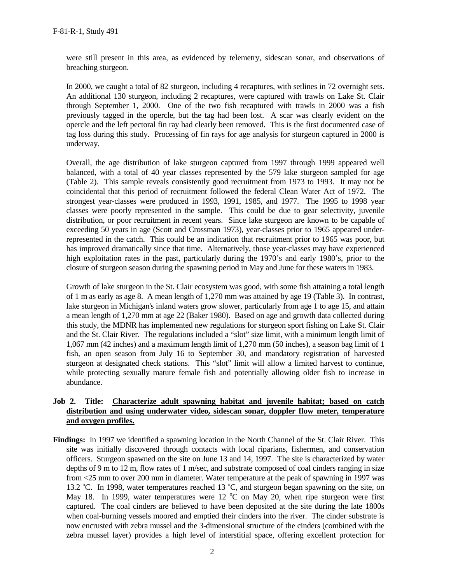were still present in this area, as evidenced by telemetry, sidescan sonar, and observations of breaching sturgeon.

In 2000, we caught a total of 82 sturgeon, including 4 recaptures, with setlines in 72 overnight sets. An additional 130 sturgeon, including 2 recaptures, were captured with trawls on Lake St. Clair through September 1, 2000. One of the two fish recaptured with trawls in 2000 was a fish previously tagged in the opercle, but the tag had been lost. A scar was clearly evident on the opercle and the left pectoral fin ray had clearly been removed. This is the first documented case of tag loss during this study. Processing of fin rays for age analysis for sturgeon captured in 2000 is underway.

Overall, the age distribution of lake sturgeon captured from 1997 through 1999 appeared well balanced, with a total of 40 year classes represented by the 579 lake sturgeon sampled for age (Table 2). This sample reveals consistently good recruitment from 1973 to 1993. It may not be coincidental that this period of recruitment followed the federal Clean Water Act of 1972. The strongest year-classes were produced in 1993, 1991, 1985, and 1977. The 1995 to 1998 year classes were poorly represented in the sample. This could be due to gear selectivity, juvenile distribution, or poor recruitment in recent years. Since lake sturgeon are known to be capable of exceeding 50 years in age (Scott and Crossman 1973), year-classes prior to 1965 appeared underrepresented in the catch. This could be an indication that recruitment prior to 1965 was poor, but has improved dramatically since that time. Alternatively, those year-classes may have experienced high exploitation rates in the past, particularly during the 1970's and early 1980's, prior to the closure of sturgeon season during the spawning period in May and June for these waters in 1983.

Growth of lake sturgeon in the St. Clair ecosystem was good, with some fish attaining a total length of 1 m as early as age 8. A mean length of 1,270 mm was attained by age 19 (Table 3). In contrast, lake sturgeon in Michigan's inland waters grow slower, particularly from age 1 to age 15, and attain a mean length of 1,270 mm at age 22 (Baker 1980). Based on age and growth data collected during this study, the MDNR has implemented new regulations for sturgeon sport fishing on Lake St. Clair and the St. Clair River. The regulations included a "slot" size limit, with a minimum length limit of 1,067 mm (42 inches) and a maximum length limit of 1,270 mm (50 inches), a season bag limit of 1 fish, an open season from July 16 to September 30, and mandatory registration of harvested sturgeon at designated check stations. This "slot" limit will allow a limited harvest to continue, while protecting sexually mature female fish and potentially allowing older fish to increase in abundance.

# **Job 2. Title: Characterize adult spawning habitat and juvenile habitat; based on catch distribution and using underwater video, sidescan sonar, doppler flow meter, temperature and oxygen profiles.**

**Findings:** In 1997 we identified a spawning location in the North Channel of the St. Clair River. This site was initially discovered through contacts with local riparians, fishermen, and conservation officers. Sturgeon spawned on the site on June 13 and 14, 1997. The site is characterized by water depths of 9 m to 12 m, flow rates of 1 m/sec, and substrate composed of coal cinders ranging in size from <25 mm to over 200 mm in diameter. Water temperature at the peak of spawning in 1997 was 13.2 °C. In 1998, water temperatures reached 13 °C, and sturgeon began spawning on the site, on May 18. In 1999, water temperatures were 12  $^{\circ}$ C on May 20, when ripe sturgeon were first captured. The coal cinders are believed to have been deposited at the site during the late 1800s when coal-burning vessels moored and emptied their cinders into the river. The cinder substrate is now encrusted with zebra mussel and the 3-dimensional structure of the cinders (combined with the zebra mussel layer) provides a high level of interstitial space, offering excellent protection for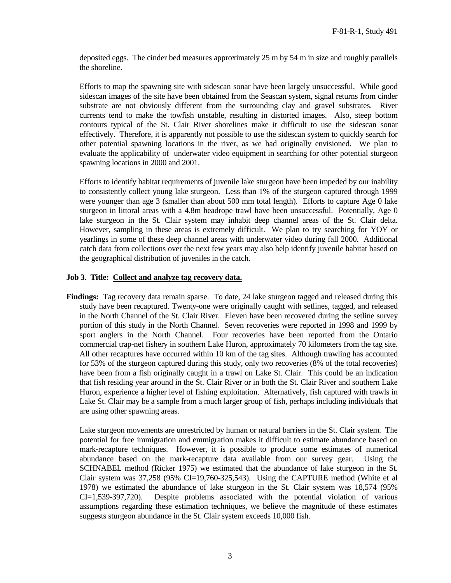deposited eggs. The cinder bed measures approximately 25 m by 54 m in size and roughly parallels the shoreline.

Efforts to map the spawning site with sidescan sonar have been largely unsuccessful. While good sidescan images of the site have been obtained from the Seascan system, signal returns from cinder substrate are not obviously different from the surrounding clay and gravel substrates. River currents tend to make the towfish unstable, resulting in distorted images. Also, steep bottom contours typical of the St. Clair River shorelines make it difficult to use the sidescan sonar effectively. Therefore, it is apparently not possible to use the sidescan system to quickly search for other potential spawning locations in the river, as we had originally envisioned. We plan to evaluate the applicability of underwater video equipment in searching for other potential sturgeon spawning locations in 2000 and 2001.

Efforts to identify habitat requirements of juvenile lake sturgeon have been impeded by our inability to consistently collect young lake sturgeon. Less than 1% of the sturgeon captured through 1999 were younger than age 3 (smaller than about 500 mm total length). Efforts to capture Age 0 lake sturgeon in littoral areas with a 4.8m headrope trawl have been unsuccessful. Potentially, Age 0 lake sturgeon in the St. Clair system may inhabit deep channel areas of the St. Clair delta. However, sampling in these areas is extremely difficult. We plan to try searching for YOY or yearlings in some of these deep channel areas with underwater video during fall 2000. Additional catch data from collections over the next few years may also help identify juvenile habitat based on the geographical distribution of juveniles in the catch.

### **Job 3. Title: Collect and analyze tag recovery data.**

**Findings:** Tag recovery data remain sparse. To date, 24 lake sturgeon tagged and released during this study have been recaptured. Twenty-one were originally caught with setlines, tagged, and released in the North Channel of the St. Clair River. Eleven have been recovered during the setline survey portion of this study in the North Channel. Seven recoveries were reported in 1998 and 1999 by sport anglers in the North Channel. Four recoveries have been reported from the Ontario commercial trap-net fishery in southern Lake Huron, approximately 70 kilometers from the tag site. All other recaptures have occurred within 10 km of the tag sites. Although trawling has accounted for 53% of the sturgeon captured during this study, only two recoveries (8% of the total recoveries) have been from a fish originally caught in a trawl on Lake St. Clair. This could be an indication that fish residing year around in the St. Clair River or in both the St. Clair River and southern Lake Huron, experience a higher level of fishing exploitation. Alternatively, fish captured with trawls in Lake St. Clair may be a sample from a much larger group of fish, perhaps including individuals that are using other spawning areas.

Lake sturgeon movements are unrestricted by human or natural barriers in the St. Clair system. The potential for free immigration and emmigration makes it difficult to estimate abundance based on mark-recapture techniques. However, it is possible to produce some estimates of numerical abundance based on the mark-recapture data available from our survey gear. Using the SCHNABEL method (Ricker 1975) we estimated that the abundance of lake sturgeon in the St. Clair system was  $37,258$  (95% CI=19,760-325,543). Using the CAPTURE method (White et al 1978) we estimated the abundance of lake sturgeon in the St. Clair system was 18,574 (95% CI=1,539-397,720). Despite problems associated with the potential violation of various assumptions regarding these estimation techniques, we believe the magnitude of these estimates suggests sturgeon abundance in the St. Clair system exceeds 10,000 fish.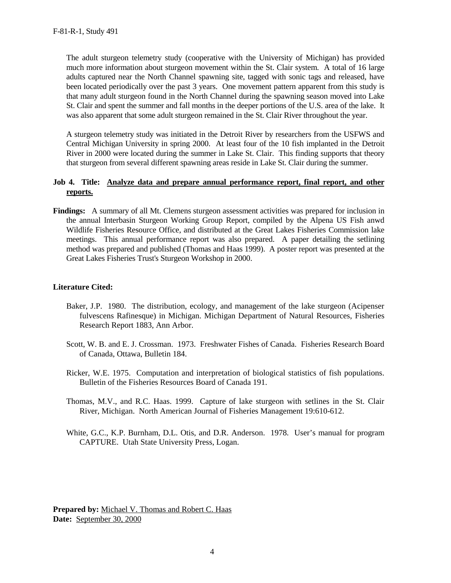The adult sturgeon telemetry study (cooperative with the University of Michigan) has provided much more information about sturgeon movement within the St. Clair system. A total of 16 large adults captured near the North Channel spawning site, tagged with sonic tags and released, have been located periodically over the past 3 years. One movement pattern apparent from this study is that many adult sturgeon found in the North Channel during the spawning season moved into Lake St. Clair and spent the summer and fall months in the deeper portions of the U.S. area of the lake. It was also apparent that some adult sturgeon remained in the St. Clair River throughout the year.

A sturgeon telemetry study was initiated in the Detroit River by researchers from the USFWS and Central Michigan University in spring 2000. At least four of the 10 fish implanted in the Detroit River in 2000 were located during the summer in Lake St. Clair. This finding supports that theory that sturgeon from several different spawning areas reside in Lake St. Clair during the summer.

### **Job 4. Title: Analyze data and prepare annual performance report, final report, and other reports.**

**Findings:** A summary of all Mt. Clemens sturgeon assessment activities was prepared for inclusion in the annual Interbasin Sturgeon Working Group Report, compiled by the Alpena US Fish anwd Wildlife Fisheries Resource Office, and distributed at the Great Lakes Fisheries Commission lake meetings. This annual performance report was also prepared. A paper detailing the setlining method was prepared and published (Thomas and Haas 1999). A poster report was presented at the Great Lakes Fisheries Trust's Sturgeon Workshop in 2000.

# **Literature Cited:**

- Baker, J.P. 1980. The distribution, ecology, and management of the lake sturgeon (Acipenser fulvescens Rafinesque) in Michigan. Michigan Department of Natural Resources, Fisheries Research Report 1883, Ann Arbor.
- Scott, W. B. and E. J. Crossman. 1973. Freshwater Fishes of Canada. Fisheries Research Board of Canada, Ottawa, Bulletin 184.
- Ricker, W.E. 1975. Computation and interpretation of biological statistics of fish populations. Bulletin of the Fisheries Resources Board of Canada 191.
- Thomas, M.V., and R.C. Haas. 1999. Capture of lake sturgeon with setlines in the St. Clair River, Michigan. North American Journal of Fisheries Management 19:610-612.
- White, G.C., K.P. Burnham, D.L. Otis, and D.R. Anderson. 1978. User's manual for program CAPTURE. Utah State University Press, Logan.

**Prepared by:** Michael V. Thomas and Robert C. Haas **Date:** September 30, 2000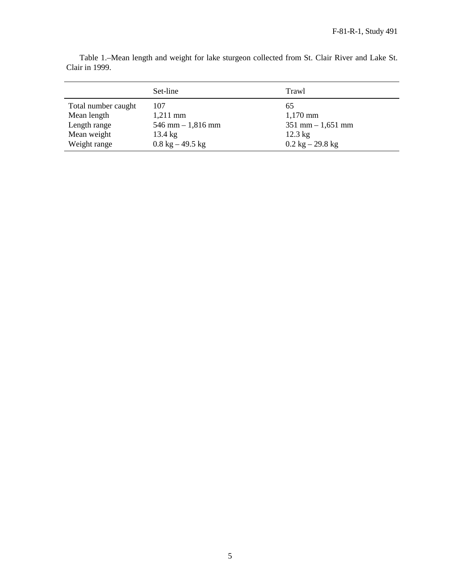|                     | Set-line                           | Trawl                              |
|---------------------|------------------------------------|------------------------------------|
| Total number caught | 107                                | 65                                 |
| Mean length         | $1,211$ mm                         | $1,170$ mm                         |
| Length range        | $546$ mm $-1,816$ mm               | $351$ mm $- 1,651$ mm              |
| Mean weight         | $13.4 \text{ kg}$                  | $12.3 \text{ kg}$                  |
| Weight range        | $0.8 \text{ kg} - 49.5 \text{ kg}$ | $0.2 \text{ kg} - 29.8 \text{ kg}$ |

Table 1.–Mean length and weight for lake sturgeon collected from St. Clair River and Lake St. Clair in 1999.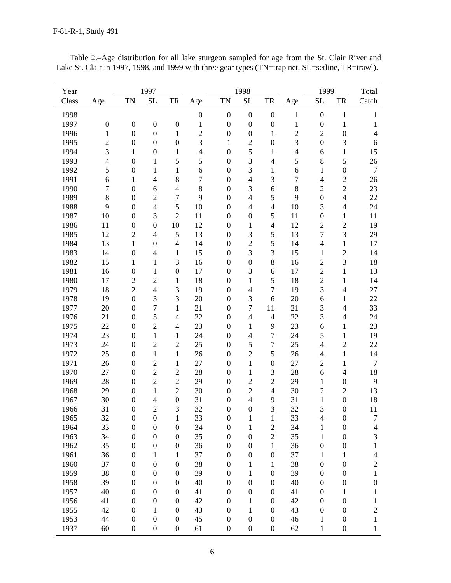| Year         |                         |                  | 1997             |                  |                  |                  | 1998                     |                  |                | 1999             |                  | Total            |
|--------------|-------------------------|------------------|------------------|------------------|------------------|------------------|--------------------------|------------------|----------------|------------------|------------------|------------------|
| Class        | Age                     | <b>TN</b>        | <b>SL</b>        | TR               | Age              | <b>TN</b>        | $\rm SL$                 | TR               | Age            | <b>SL</b>        | TR               | Catch            |
| 1998         |                         |                  |                  |                  | $\boldsymbol{0}$ | $\boldsymbol{0}$ | $\boldsymbol{0}$         | $\boldsymbol{0}$ | 1              | $\boldsymbol{0}$ | 1                | $\mathbf{1}$     |
| 1997         | $\boldsymbol{0}$        | $\boldsymbol{0}$ | $\boldsymbol{0}$ | $\boldsymbol{0}$ | $\mathbf{1}$     | $\boldsymbol{0}$ | $\boldsymbol{0}$         | $\boldsymbol{0}$ | $\mathbf{1}$   | $\boldsymbol{0}$ | $\mathbf 1$      | $\mathbf{1}$     |
| 1996         | $\mathbf{1}$            | $\boldsymbol{0}$ | $\boldsymbol{0}$ | $\mathbf{1}$     | $\sqrt{2}$       | $\boldsymbol{0}$ | $\boldsymbol{0}$         | $\mathbf{1}$     | $\overline{c}$ | $\overline{2}$   | $\boldsymbol{0}$ | $\overline{4}$   |
| 1995         | $\overline{2}$          | $\boldsymbol{0}$ | $\boldsymbol{0}$ | $\boldsymbol{0}$ | 3                | $1\,$            | $\overline{c}$           | $\boldsymbol{0}$ | 3              | $\overline{0}$   | 3                | 6                |
| 1994         | $\overline{\mathbf{3}}$ | $\mathbf{1}$     | $\boldsymbol{0}$ | $\mathbf{1}$     | $\overline{4}$   | $\boldsymbol{0}$ | 5                        | $\mathbf{1}$     | $\overline{4}$ | 6                | $\mathbf{1}$     | 15               |
| 1993         | $\overline{4}$          | $\boldsymbol{0}$ | $\mathbf{1}$     | 5                | 5                | $\boldsymbol{0}$ | 3                        | $\overline{4}$   | 5              | $8\,$            | 5                | 26               |
| 1992         | 5                       | $\boldsymbol{0}$ | $\mathbf{1}$     | $\mathbf{1}$     | 6                | $\boldsymbol{0}$ | 3                        | $\mathbf{1}$     | 6              | $\mathbf{1}$     | $\boldsymbol{0}$ | $\boldsymbol{7}$ |
| 1991         | 6                       | 1                | $\overline{4}$   | 8                | $\tau$           | $\boldsymbol{0}$ | $\overline{4}$           | 3                | $\tau$         | $\overline{4}$   | $\sqrt{2}$       | 26               |
| 1990         | $\boldsymbol{7}$        | $\boldsymbol{0}$ | 6                | $\overline{4}$   | 8                | $\boldsymbol{0}$ | 3                        | $\sqrt{6}$       | 8              | $\overline{2}$   | $\overline{2}$   | 23               |
| 1989         | $\,8\,$                 | $\boldsymbol{0}$ | $\overline{2}$   | $\boldsymbol{7}$ | 9                | $\boldsymbol{0}$ | $\overline{4}$           | 5                | 9              | $\boldsymbol{0}$ | $\overline{4}$   | 22               |
| 1988         | 9                       | $\boldsymbol{0}$ | $\overline{4}$   | 5                | 10               | $\boldsymbol{0}$ | $\overline{4}$           | $\overline{4}$   | 10             | 3                | $\overline{4}$   | 24               |
| 1987         | 10                      | $\boldsymbol{0}$ | 3                | $\overline{2}$   | 11               | $\boldsymbol{0}$ | $\boldsymbol{0}$         | 5                | 11             | $\boldsymbol{0}$ | $\mathbf{1}$     | 11               |
| 1986         | 11                      | $\boldsymbol{0}$ | $\boldsymbol{0}$ | 10               | 12               | $\boldsymbol{0}$ | $\mathbf{1}$             | $\overline{4}$   | 12             | $\sqrt{2}$       | $\overline{c}$   | 19               |
| 1985         | 12                      | $\overline{c}$   | $\overline{4}$   | 5                | 13               | $\boldsymbol{0}$ | 3                        | 5                | 13             | $\overline{7}$   | 3                | 29               |
| 1984         | 13                      | $\mathbf{1}$     | $\boldsymbol{0}$ | $\overline{4}$   | 14               | $\boldsymbol{0}$ | $\overline{2}$           | 5                | 14             | $\overline{4}$   | $\mathbf{1}$     | 17               |
| 1983         | 14                      | $\boldsymbol{0}$ | $\overline{4}$   | $\mathbf{1}$     | 15               | $\boldsymbol{0}$ | 3                        | 3                | 15             | $\mathbf{1}$     | $\overline{2}$   | 14               |
| 1982         | 15                      | $\mathbf{1}$     | $\mathbf{1}$     | 3                | 16               | $\boldsymbol{0}$ | $\boldsymbol{0}$         | 8                | 16             | $\overline{2}$   | 3                | 18               |
| 1981         | 16                      | $\boldsymbol{0}$ | $\mathbf{1}$     | $\boldsymbol{0}$ | 17               | $\boldsymbol{0}$ | 3                        | 6                | 17             | $\overline{2}$   | $\mathbf{1}$     | 13               |
| 1980         | 17                      | $\overline{2}$   | $\overline{2}$   | $\mathbf{1}$     | 18               | $\boldsymbol{0}$ | $\mathbf{1}$             | 5                | 18             | $\overline{c}$   | $\mathbf{1}$     | 14               |
| 1979         | 18                      | $\overline{2}$   | $\overline{4}$   | 3                | 19               | $\boldsymbol{0}$ | $\overline{\mathcal{L}}$ | $\overline{7}$   | 19             | 3                | $\overline{4}$   | 27               |
| 1978         | 19                      | $\boldsymbol{0}$ | 3                | $\overline{3}$   | 20               | $\boldsymbol{0}$ | 3                        | 6                | 20             | 6                | $\mathbf{1}$     | 22               |
| 1977         | 20                      | $\boldsymbol{0}$ | $\overline{7}$   | 1                | 21               | $\boldsymbol{0}$ | $\boldsymbol{7}$         | 11               | 21             | 3                | $\overline{4}$   | 33               |
| 1976         | 21                      | $\boldsymbol{0}$ | 5                | $\overline{4}$   | 22               | $\boldsymbol{0}$ | $\overline{4}$           | $\overline{4}$   | 22             | 3                | $\overline{4}$   | 24               |
| 1975         | 22                      | $\boldsymbol{0}$ | $\overline{2}$   | $\overline{4}$   | 23               | $\boldsymbol{0}$ | $\mathbf{1}$             | 9                | 23             | 6                | 1                | 23               |
| 1974         | 23                      | $\boldsymbol{0}$ | $\mathbf{1}$     | $\mathbf{1}$     | 24               | $\boldsymbol{0}$ | $\overline{\mathcal{L}}$ | $\tau$           | 24             | 5                | $\mathbf{1}$     | 19               |
| 1973         | 24                      | $\boldsymbol{0}$ | $\overline{2}$   | $\overline{2}$   | 25               | $\boldsymbol{0}$ | 5                        | $\tau$           | 25             | $\overline{4}$   | $\overline{2}$   | 22               |
| 1972         | 25                      | $\boldsymbol{0}$ | $\mathbf{1}$     | $\mathbf{1}$     | 26               | $\boldsymbol{0}$ | $\overline{2}$           | 5                | 26             | $\overline{4}$   | $\mathbf{1}$     | 14               |
| 1971         | 26                      | $\boldsymbol{0}$ | $\overline{c}$   | $\mathbf{1}$     | 27               | $\boldsymbol{0}$ | $\mathbf 1$              | $\boldsymbol{0}$ | 27             | $\overline{2}$   | $\mathbf{1}$     | $\boldsymbol{7}$ |
| 1970         | 27                      | $\boldsymbol{0}$ | $\overline{2}$   | $\overline{c}$   | 28               | $\boldsymbol{0}$ | $\mathbf{1}$             | 3                | 28             | 6                | $\overline{4}$   | 18               |
| 1969         | 28                      | $\boldsymbol{0}$ | $\overline{2}$   | $\overline{2}$   | 29               | $\boldsymbol{0}$ | $\mathbf{2}$             | $\overline{2}$   | 29             | $\mathbf{1}$     | $\boldsymbol{0}$ | 9                |
| 1968         | 29                      | $\boldsymbol{0}$ | $\mathbf{1}$     | $\overline{c}$   | 30               | $\boldsymbol{0}$ | $\overline{2}$           | $\overline{4}$   | 30             | $\overline{2}$   | $\overline{2}$   | 13               |
| 1967         | 30                      | $\boldsymbol{0}$ | $\overline{4}$   | $\boldsymbol{0}$ | 31               | $\boldsymbol{0}$ | $\overline{\mathbf{4}}$  | 9                | 31             | $\mathbf{1}$     | $\boldsymbol{0}$ | 18               |
| 1966         | 31                      | $\boldsymbol{0}$ | 2                | 3                | 32               | $\boldsymbol{0}$ | $\boldsymbol{0}$         | 3                | 32             | 3                | $\boldsymbol{0}$ | 11               |
| 1965         | 32                      | $\boldsymbol{0}$ | $\boldsymbol{0}$ | 1                | 33               | $\boldsymbol{0}$ | $\mathbf{1}$             | $\mathbf{1}$     | 33             | $\overline{4}$   | $\boldsymbol{0}$ | $\boldsymbol{7}$ |
| 1964         | 33                      | $\boldsymbol{0}$ | $\boldsymbol{0}$ | $\boldsymbol{0}$ | 34               | $\boldsymbol{0}$ | $\mathbf{1}$             | $\boldsymbol{2}$ | 34             | 1                | $\boldsymbol{0}$ | 4                |
| 1963         | 34                      | $\boldsymbol{0}$ | $\boldsymbol{0}$ | $\boldsymbol{0}$ | 35               | $\boldsymbol{0}$ | $\boldsymbol{0}$         | $\sqrt{2}$       | 35             | 1                | $\boldsymbol{0}$ | $\mathfrak{Z}$   |
| 1962         | 35                      | $\boldsymbol{0}$ | $\boldsymbol{0}$ | $\boldsymbol{0}$ | 36               | $\boldsymbol{0}$ | $\boldsymbol{0}$         | $\mathbf{1}$     | 36             | $\boldsymbol{0}$ | $\boldsymbol{0}$ | $\mathbf{1}$     |
| 1961         | 36                      | $\boldsymbol{0}$ | 1                | 1                | 37               | $\boldsymbol{0}$ | $\boldsymbol{0}$         | $\boldsymbol{0}$ | 37             | 1                | 1                | 4                |
| 1960         | 37                      | $\boldsymbol{0}$ | $\boldsymbol{0}$ | $\boldsymbol{0}$ | 38               | $\boldsymbol{0}$ | $\mathbf{1}$             | $\mathbf{1}$     | 38             | $\boldsymbol{0}$ | $\boldsymbol{0}$ | $\boldsymbol{2}$ |
| 1959         | 38                      | $\boldsymbol{0}$ | $\boldsymbol{0}$ | $\boldsymbol{0}$ | 39               | $\boldsymbol{0}$ | $\mathbf{1}$             | $\boldsymbol{0}$ | 39             | $\boldsymbol{0}$ | $\boldsymbol{0}$ | $\mathbf{1}$     |
| 1958         | 39                      | $\boldsymbol{0}$ | $\boldsymbol{0}$ | $\boldsymbol{0}$ | 40               | $\boldsymbol{0}$ | $\boldsymbol{0}$         | $\boldsymbol{0}$ | 40             | $\boldsymbol{0}$ | $\boldsymbol{0}$ | $\boldsymbol{0}$ |
| 1957         | 40                      | $\boldsymbol{0}$ | $\boldsymbol{0}$ | $\boldsymbol{0}$ | 41               | $\boldsymbol{0}$ | $\boldsymbol{0}$         | $\boldsymbol{0}$ | 41             | $\boldsymbol{0}$ | $\mathbf{1}$     | 1                |
| 1956         | 41                      |                  | $\boldsymbol{0}$ | $\boldsymbol{0}$ | 42               | $\boldsymbol{0}$ |                          | $\boldsymbol{0}$ | 42             | $\boldsymbol{0}$ | $\boldsymbol{0}$ |                  |
|              |                         | $\boldsymbol{0}$ |                  |                  |                  |                  | $\mathbf{1}$             |                  |                |                  |                  | $\mathbf{1}$     |
| 1955<br>1953 | 42<br>44                | $\boldsymbol{0}$ | 1                | $\boldsymbol{0}$ | 43<br>45         | $\boldsymbol{0}$ | $\mathbf{1}$             | $\boldsymbol{0}$ | 43             | $\boldsymbol{0}$ | $\boldsymbol{0}$ | $\overline{c}$   |
|              |                         | $\boldsymbol{0}$ | $\boldsymbol{0}$ | $\boldsymbol{0}$ |                  | $\boldsymbol{0}$ | $\boldsymbol{0}$         | $\boldsymbol{0}$ | 46             | 1                | $\boldsymbol{0}$ | $\mathbf{1}$     |
| 1937         | 60                      | $\boldsymbol{0}$ | $\boldsymbol{0}$ | $\boldsymbol{0}$ | 61               | $\boldsymbol{0}$ | $\boldsymbol{0}$         | $\boldsymbol{0}$ | 62             | $\mathbf{1}$     | $\boldsymbol{0}$ | $\mathbf{1}$     |

Table 2.–Age distribution for all lake sturgeon sampled for age from the St. Clair River and Lake St. Clair in 1997, 1998, and 1999 with three gear types (TN=trap net, SL=setline, TR=trawl).